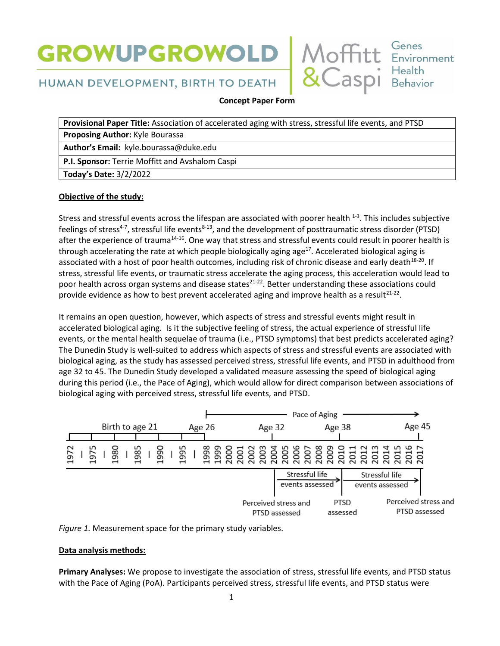# **GROWUPGROWOLD**



## HUMAN DEVELOPMENT, BIRTH TO DEATH

**Concept Paper Form** 

**Provisional Paper Title:** Association of accelerated aging with stress, stressful life events, and PTSD **Proposing Author:** Kyle Bourassa **Author's Email:** kyle.bourassa@duke.edu **P.I. Sponsor:** Terrie Moffitt and Avshalom Caspi **Today's Date:** 3/2/2022

### **Objective of the study:**

Stress and stressful events across the lifespan are associated with poorer health  $^{1-3}$ . This includes subjective feelings of stress<sup>4-7</sup>, stressful life events<sup>8-13</sup>, and the development of posttraumatic stress disorder (PTSD) after the experience of trauma<sup>14-16</sup>. One way that stress and stressful events could result in poorer health is through accelerating the rate at which people biologically aging age<sup>17</sup>. Accelerated biological aging is associated with a host of poor health outcomes, including risk of chronic disease and early death<sup>18-20</sup>. If stress, stressful life events, or traumatic stress accelerate the aging process, this acceleration would lead to poor health across organ systems and disease states<sup>21-22</sup>. Better understanding these associations could provide evidence as how to best prevent accelerated aging and improve health as a result<sup>21-22</sup>.

It remains an open question, however, which aspects of stress and stressful events might result in accelerated biological aging. Is it the subjective feeling of stress, the actual experience of stressful life events, or the mental health sequelae of trauma (i.e., PTSD symptoms) that best predicts accelerated aging? The Dunedin Study is well-suited to address which aspects of stress and stressful events are associated with biological aging, as the study has assessed perceived stress, stressful life events, and PTSD in adulthood from age 32 to 45. The Dunedin Study developed a validated measure assessing the speed of biological aging during this period (i.e., the Pace of Aging), which would allow for direct comparison between associations of biological aging with perceived stress, stressful life events, and PTSD.





## **Data analysis methods:**

**Primary Analyses:** We propose to investigate the association of stress, stressful life events, and PTSD status with the Pace of Aging (PoA). Participants perceived stress, stressful life events, and PTSD status were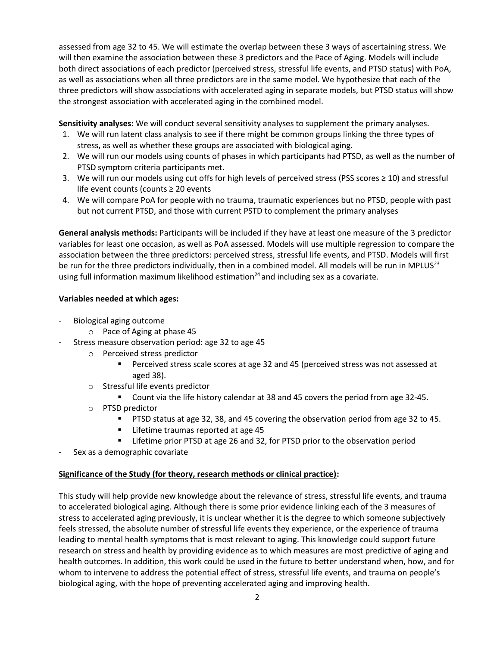assessed from age 32 to 45. We will estimate the overlap between these 3 ways of ascertaining stress. We will then examine the association between these 3 predictors and the Pace of Aging. Models will include both direct associations of each predictor (perceived stress, stressful life events, and PTSD status) with PoA, as well as associations when all three predictors are in the same model. We hypothesize that each of the three predictors will show associations with accelerated aging in separate models, but PTSD status will show the strongest association with accelerated aging in the combined model.

**Sensitivity analyses:** We will conduct several sensitivity analyses to supplement the primary analyses.

- 1. We will run latent class analysis to see if there might be common groups linking the three types of stress, as well as whether these groups are associated with biological aging.
- 2. We will run our models using counts of phases in which participants had PTSD, as well as the number of PTSD symptom criteria participants met.
- 3. We will run our models using cut offs for high levels of perceived stress (PSS scores ≥ 10) and stressful life event counts (counts ≥ 20 events
- 4. We will compare PoA for people with no trauma, traumatic experiences but no PTSD, people with past but not current PTSD, and those with current PSTD to complement the primary analyses

**General analysis methods:** Participants will be included if they have at least one measure of the 3 predictor variables for least one occasion, as well as PoA assessed. Models will use multiple regression to compare the association between the three predictors: perceived stress, stressful life events, and PTSD. Models will first be run for the three predictors individually, then in a combined model. All models will be run in MPLUS<sup>23</sup> using full information maximum likelihood estimation $24$  and including sex as a covariate.

#### **Variables needed at which ages:**

- Biological aging outcome
	- o Pace of Aging at phase 45
- Stress measure observation period: age 32 to age 45
	- o Perceived stress predictor
		- Perceived stress scale scores at age 32 and 45 (perceived stress was not assessed at aged 38).
	- o Stressful life events predictor
		- Count via the life history calendar at 38 and 45 covers the period from age 32-45.
	- o PTSD predictor
		- **PTSD status at age 32, 38, and 45 covering the observation period from age 32 to 45.**
		- **EXEC** Lifetime traumas reported at age 45
		- **EXT** Lifetime prior PTSD at age 26 and 32, for PTSD prior to the observation period
- Sex as a demographic covariate

#### **Significance of the Study (for theory, research methods or clinical practice):**

This study will help provide new knowledge about the relevance of stress, stressful life events, and trauma to accelerated biological aging. Although there is some prior evidence linking each of the 3 measures of stress to accelerated aging previously, it is unclear whether it is the degree to which someone subjectively feels stressed, the absolute number of stressful life events they experience, or the experience of trauma leading to mental health symptoms that is most relevant to aging. This knowledge could support future research on stress and health by providing evidence as to which measures are most predictive of aging and health outcomes. In addition, this work could be used in the future to better understand when, how, and for whom to intervene to address the potential effect of stress, stressful life events, and trauma on people's biological aging, with the hope of preventing accelerated aging and improving health.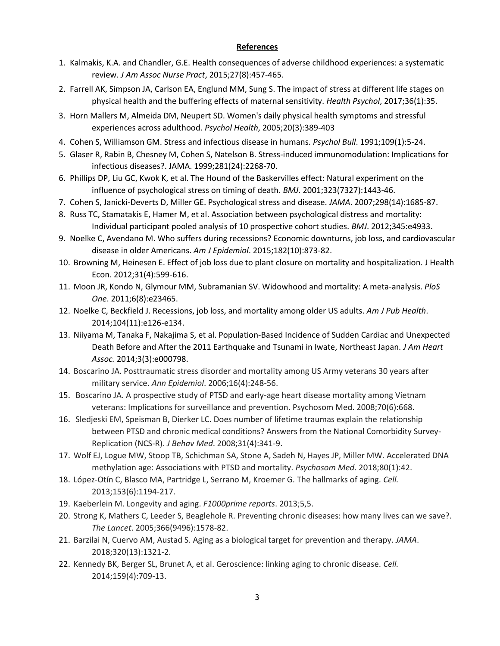#### **References**

- 1. Kalmakis, K.A. and Chandler, G.E. Health consequences of adverse childhood experiences: a systematic review. *J Am Assoc Nurse Pract*, 2015;27(8):457-465.
- 2. Farrell AK, Simpson JA, Carlson EA, Englund MM, Sung S. The impact of stress at different life stages on physical health and the buffering effects of maternal sensitivity. *Health Psychol*, 2017;36(1):35.
- 3. Horn Mallers M, Almeida DM, Neupert SD. Women's daily physical health symptoms and stressful experiences across adulthood. *Psychol Health*, 2005;20(3):389-403
- 4. Cohen S, Williamson GM. Stress and infectious disease in humans. *Psychol Bull*. 1991;109(1):5-24.
- 5. Glaser R, Rabin B, Chesney M, Cohen S, Natelson B. Stress-induced immunomodulation: Implications for infectious diseases?. JAMA. 1999;281(24):2268-70.
- 6. Phillips DP, Liu GC, Kwok K, et al. The Hound of the Baskervilles effect: Natural experiment on the influence of psychological stress on timing of death. *BMJ*. 2001;323(7327):1443-46.
- 7. Cohen S, Janicki-Deverts D, Miller GE. Psychological stress and disease. *JAMA*. 2007;298(14):1685-87.
- 8. Russ TC, Stamatakis E, Hamer M, et al. Association between psychological distress and mortality: Individual participant pooled analysis of 10 prospective cohort studies. *BMJ*. 2012;345:e4933.
- 9. Noelke C, Avendano M. Who suffers during recessions? Economic downturns, job loss, and cardiovascular disease in older Americans. *Am J Epidemiol*. 2015;182(10):873-82.
- 10. Browning M, Heinesen E. Effect of job loss due to plant closure on mortality and hospitalization. J Health Econ. 2012;31(4):599-616.
- 11. Moon JR, Kondo N, Glymour MM, Subramanian SV. Widowhood and mortality: A meta-analysis. *PloS One*. 2011;6(8):e23465.
- 12. Noelke C, Beckfield J. Recessions, job loss, and mortality among older US adults. *Am J Pub Health*. 2014;104(11):e126-e134.
- 13. Niiyama M, Tanaka F, Nakajima S, et al. Population‐Based Incidence of Sudden Cardiac and Unexpected Death Before and After the 2011 Earthquake and Tsunami in Iwate, Northeast Japan. *J Am Heart Assoc.* 2014;3(3):e000798.
- 14. Boscarino JA. Posttraumatic stress disorder and mortality among US Army veterans 30 years after military service. *Ann Epidemiol*. 2006;16(4):248-56.
- 15. Boscarino JA. A prospective study of PTSD and early-age heart disease mortality among Vietnam veterans: Implications for surveillance and prevention. Psychosom Med. 2008;70(6):668.
- 16. Sledjeski EM, Speisman B, Dierker LC. Does number of lifetime traumas explain the relationship between PTSD and chronic medical conditions? Answers from the National Comorbidity Survey-Replication (NCS-R). *J Behav Med*. 2008;31(4):341-9.
- 17. Wolf EJ, Logue MW, Stoop TB, Schichman SA, Stone A, Sadeh N, Hayes JP, Miller MW. Accelerated DNA methylation age: Associations with PTSD and mortality. *Psychosom Med*. 2018;80(1):42.
- 18. López-Otín C, Blasco MA, Partridge L, Serrano M, Kroemer G. The hallmarks of aging. *Cell.*  2013;153(6):1194-217.
- 19. Kaeberlein M. Longevity and aging. *F1000prime reports*. 2013;5,5.
- 20. Strong K, Mathers C, Leeder S, Beaglehole R. Preventing chronic diseases: how many lives can we save?. *The Lancet*. 2005;366(9496):1578-82.
- 21. Barzilai N, Cuervo AM, Austad S. Aging as a biological target for prevention and therapy. *JAMA*. 2018;320(13):1321-2.
- 22. Kennedy BK, Berger SL, Brunet A, et al. Geroscience: linking aging to chronic disease. *Cell.* 2014;159(4):709-13.